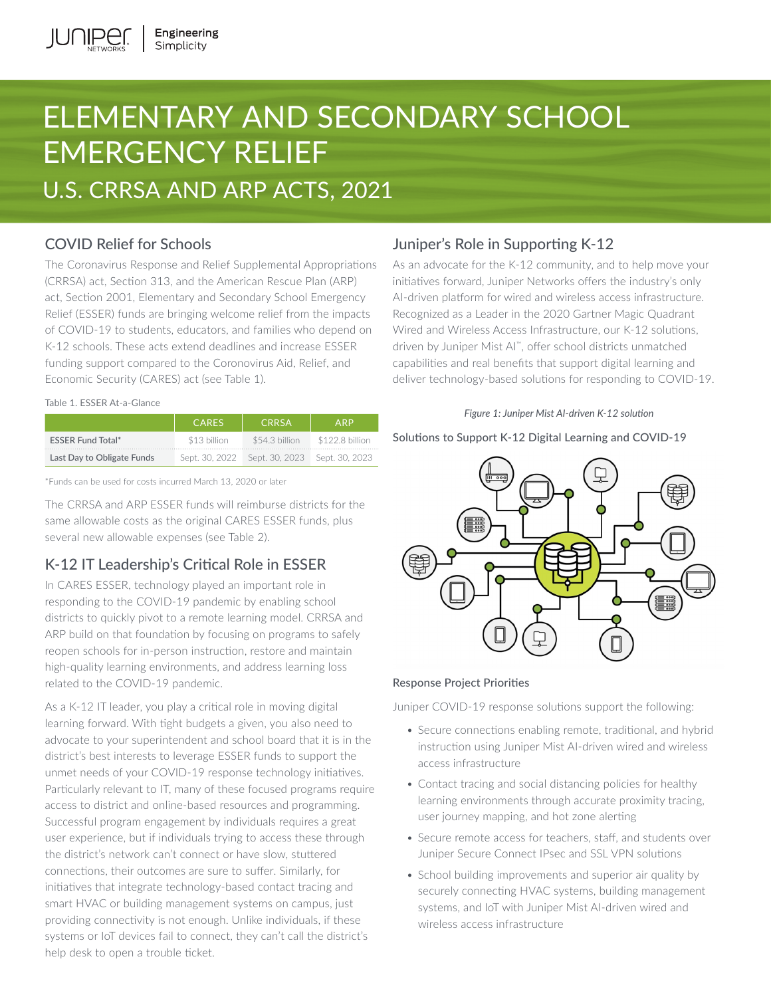# ELEMENTARY AND SECONDARY SCHOOL EMERGENCY RELIEF U.S. CRRSA AND ARP ACTS, 2021

# COVID Relief for Schools

The Coronavirus Response and Relief Supplemental Appropriations (CRRSA) act, Section 313, and the American Rescue Plan (ARP) act, Section 2001, Elementary and Secondary School Emergency Relief (ESSER) funds are bringing welcome relief from the impacts of COVID-19 to students, educators, and families who depend on K-12 schools. These acts extend deadlines and increase ESSER funding support compared to the Coronovirus Aid, Relief, and Economic Security (CARES) act (see Table 1).

#### Table 1. ESSER At-a-Glance

|                            | <b>CARES</b>   | <b>CRRSA</b>   | <b>ARP</b>      |
|----------------------------|----------------|----------------|-----------------|
| <b>ESSER Fund Total*</b>   | \$13 billion   | \$54.3 billion | \$122.8 billion |
| Last Day to Obligate Funds | Sept. 30, 2022 | Sept. 30, 2023 | Sept. 30, 2023  |

\*Funds can be used for costs incurred March 13, 2020 or later

The CRRSA and ARP ESSER funds will reimburse districts for the same allowable costs as the original CARES ESSER funds, plus several new allowable expenses (see Table 2).

# K-12 IT Leadership's Critical Role in ESSER

In CARES ESSER, technology played an important role in responding to the COVID-19 pandemic by enabling school districts to quickly pivot to a remote learning model. CRRSA and ARP build on that foundation by focusing on programs to safely reopen schools for in-person instruction, restore and maintain high-quality learning environments, and address learning loss related to the COVID-19 pandemic.

As a K-12 IT leader, you play a critical role in moving digital learning forward. With tight budgets a given, you also need to advocate to your superintendent and school board that it is in the district's best interests to leverage ESSER funds to support the unmet needs of your COVID-19 response technology initiatives. Particularly relevant to IT, many of these focused programs require access to district and online-based resources and programming. Successful program engagement by individuals requires a great user experience, but if individuals trying to access these through the district's network can't connect or have slow, stuttered connections, their outcomes are sure to suffer. Similarly, for initiatives that integrate technology-based contact tracing and smart HVAC or building management systems on campus, just providing connectivity is not enough. Unlike individuals, if these systems or IoT devices fail to connect, they can't call the district's help desk to open a trouble ticket.

# Juniper's Role in Supporting K-12

As an advocate for the K-12 community, and to help move your initiatives forward, Juniper Networks offers the industry's only AI-driven platform for wired and wireless access infrastructure. Recognized as a Leader in the 2020 Gartner Magic Quadrant Wired and Wireless Access Infrastructure, our K-12 solutions, driven by Juniper Mist AI™, offer school districts unmatched capabilities and real benefits that support digital learning and deliver technology-based solutions for responding to COVID-19.

### *Figure 1: Juniper Mist AI-driven K-12 solution*

### Solutions to Support K-12 Digital Learning and COVID-19



## Response Project Priorities

Juniper COVID-19 response solutions support the following:

- Secure connections enabling remote, traditional, and hybrid instruction using Juniper Mist AI-driven wired and wireless access infrastructure
- Contact tracing and social distancing policies for healthy learning environments through accurate proximity tracing, user journey mapping, and hot zone alerting
- Secure remote access for teachers, staff, and students over Juniper Secure Connect IPsec and SSL VPN solutions
- School building improvements and superior air quality by securely connecting HVAC systems, building management systems, and IoT with Juniper Mist AI-driven wired and wireless access infrastructure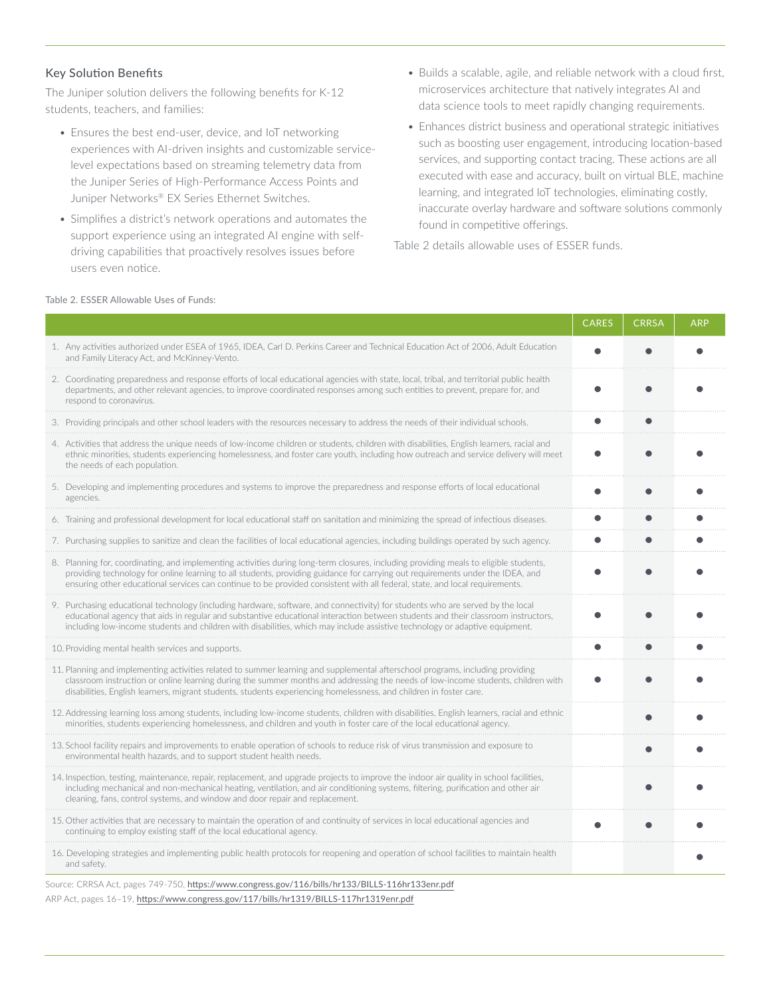### Key Solution Benefits

The Juniper solution delivers the following benefits for K-12 students, teachers, and families:

- Ensures the best end-user, device, and IoT networking experiences with AI-driven insights and customizable servicelevel expectations based on streaming telemetry data from the Juniper Series of High-Performance Access Points and Juniper Networks® EX Series Ethernet Switches.
- Simplifies a district's network operations and automates the support experience using an integrated AI engine with selfdriving capabilities that proactively resolves issues before users even notice.
- Builds a scalable, agile, and reliable network with a cloud first, microservices architecture that natively integrates AI and data science tools to meet rapidly changing requirements.
- Enhances district business and operational strategic initiatives such as boosting user engagement, introducing location-based services, and supporting contact tracing. These actions are all executed with ease and accuracy, built on virtual BLE, machine learning, and integrated IoT technologies, eliminating costly, inaccurate overlay hardware and software solutions commonly found in competitive offerings.

Table 2 details allowable uses of ESSER funds.

|                                                                                                                                                                                                                                                                                                                                                                                                        | <b>CARES</b> | <b>CRRSA</b> | ARP |
|--------------------------------------------------------------------------------------------------------------------------------------------------------------------------------------------------------------------------------------------------------------------------------------------------------------------------------------------------------------------------------------------------------|--------------|--------------|-----|
| 1. Any activities authorized under ESEA of 1965, IDEA, Carl D. Perkins Career and Technical Education Act of 2006, Adult Education<br>and Family Literacy Act, and McKinney-Vento.                                                                                                                                                                                                                     |              |              |     |
| 2. Coordinating preparedness and response efforts of local educational agencies with state, local, tribal, and territorial public health<br>departments, and other relevant agencies, to improve coordinated responses among such entities to prevent, prepare for, and<br>respond to coronavirus.                                                                                                     |              |              |     |
| 3. Providing principals and other school leaders with the resources necessary to address the needs of their individual schools.                                                                                                                                                                                                                                                                        |              |              |     |
| 4. Activities that address the unique needs of low-income children or students, children with disabilities, English learners, racial and<br>ethnic minorities, students experiencing homelessness, and foster care youth, including how outreach and service delivery will meet<br>the needs of each population.                                                                                       |              |              |     |
| 5. Developing and implementing procedures and systems to improve the preparedness and response efforts of local educational<br>agencies.                                                                                                                                                                                                                                                               |              |              |     |
| 6. Training and professional development for local educational staff on sanitation and minimizing the spread of infectious diseases.                                                                                                                                                                                                                                                                   |              |              |     |
| 7. Purchasing supplies to sanitize and clean the facilities of local educational agencies, including buildings operated by such agency.                                                                                                                                                                                                                                                                |              |              |     |
| 8. Planning for, coordinating, and implementing activities during long-term closures, including providing meals to eligible students,<br>providing technology for online learning to all students, providing guidance for carrying out requirements under the IDEA, and<br>ensuring other educational services can continue to be provided consistent with all federal, state, and local requirements. |              |              |     |
| 9. Purchasing educational technology (including hardware, software, and connectivity) for students who are served by the local<br>educational agency that aids in regular and substantive educational interaction between students and their classroom instructors,<br>including low-income students and children with disabilities, which may include assistive technology or adaptive equipment.     |              |              |     |
| 10. Providing mental health services and supports.                                                                                                                                                                                                                                                                                                                                                     |              |              |     |
| 11. Planning and implementing activities related to summer learning and supplemental afterschool programs, including providing<br>classroom instruction or online learning during the summer months and addressing the needs of low-income students, children with<br>disabilities, English learners, migrant students, students experiencing homelessness, and children in foster care.               |              |              |     |
| 12. Addressing learning loss among students, including low-income students, children with disabilities, English learners, racial and ethnic<br>minorities, students experiencing homelessness, and children and youth in foster care of the local educational agency.                                                                                                                                  |              |              |     |
| 13. School facility repairs and improvements to enable operation of schools to reduce risk of virus transmission and exposure to<br>environmental health hazards, and to support student health needs.                                                                                                                                                                                                 |              |              |     |
| 14. Inspection, testing, maintenance, repair, replacement, and upgrade projects to improve the indoor air quality in school facilities,<br>including mechanical and non-mechanical heating, ventilation, and air conditioning systems, filtering, purification and other air<br>cleaning, fans, control systems, and window and door repair and replacement.                                           |              |              |     |
| 15. Other activities that are necessary to maintain the operation of and continuity of services in local educational agencies and<br>continuing to employ existing staff of the local educational agency.                                                                                                                                                                                              |              |              |     |
| 16. Developing strategies and implementing public health protocols for reopening and operation of school facilities to maintain health<br>and safety.                                                                                                                                                                                                                                                  |              |              |     |
| $740.750 \pm 0.$<br>$(4411 \text{ m})$ $(1400 \text{ m})$                                                                                                                                                                                                                                                                                                                                              |              |              |     |

Source: CRRSA Act, pages 749-750, <https://www.congress.gov/116/bills/hr133/BILLS-116hr133enr.pdf> ARP Act, pages 16-19, <https://www.congress.gov/117/bills/hr1319/BILLS-117hr1319enr.pdf>

#### Table 2. ESSER Allowable Uses of Funds: